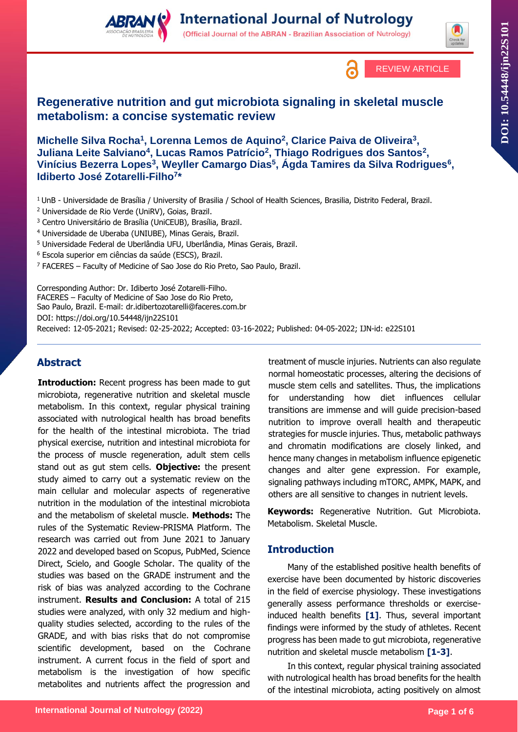





# **Regenerative nutrition and gut microbiota signaling in skeletal muscle metabolism: a concise systematic review**

**Michelle Silva Rocha<sup>1</sup> , Lorenna Lemos de Aquino<sup>2</sup> , Clarice Paiva de Oliveira<sup>3</sup> , Juliana Leite Salviano<sup>4</sup> , Lucas Ramos Patrício<sup>2</sup> , Thiago Rodrigues dos Santos<sup>2</sup> ,** Vinícius Bezerra Lopes<sup>3</sup>, Weyller Camargo Dias<sup>5</sup>, Ágda Tamires da Silva Rodrigues<sup>6</sup>, **Idiberto José Zotarelli-Filho<sup>7</sup> \***

- <sup>1</sup>UnB Universidade de Brasília / University of Brasilia / School of Health Sciences, Brasilia, Distrito Federal, Brazil.
- <sup>2</sup> Universidade de Rio Verde (UniRV), Goias, Brazil.
- <sup>3</sup> Centro Universitário de Brasília (UniCEUB), Brasília, Brazil.
- <sup>4</sup> Universidade de Uberaba (UNIUBE), Minas Gerais, Brazil.
- <sup>5</sup> Universidade Federal de Uberlândia UFU, Uberlândia, Minas Gerais, Brazil.
- <sup>6</sup> Escola superior em ciências da saúde (ESCS), Brazil.
- <sup>7</sup> FACERES Faculty of Medicine of Sao Jose do Rio Preto, Sao Paulo, Brazil.

Corresponding Author: Dr. Idiberto José Zotarelli-Filho. FACERES – Faculty of Medicine of Sao Jose do Rio Preto, Sao Paulo, Brazil. E-mail: dr.idibertozotarelli@faceres.com.br DOI:<https://doi.org/10.54448/ijn22S101>

Received: 12-05-2021; Revised: 02-25-2022; Accepted: 03-16-2022; Published: 04-05-2022; IJN-id: e22S101

# **Abstract**

**Introduction:** Recent progress has been made to gut microbiota, regenerative nutrition and skeletal muscle metabolism. In this context, regular physical training associated with nutrological health has broad benefits for the health of the intestinal microbiota. The triad physical exercise, nutrition and intestinal microbiota for the process of muscle regeneration, adult stem cells stand out as gut stem cells. **Objective:** the present study aimed to carry out a systematic review on the main cellular and molecular aspects of regenerative nutrition in the modulation of the intestinal microbiota and the metabolism of skeletal muscle. **Methods:** The rules of the Systematic Review-PRISMA Platform. The research was carried out from June 2021 to January 2022 and developed based on Scopus, PubMed, Science Direct, Scielo, and Google Scholar. The quality of the studies was based on the GRADE instrument and the risk of bias was analyzed according to the Cochrane instrument. **Results and Conclusion:** A total of 215 studies were analyzed, with only 32 medium and highquality studies selected, according to the rules of the GRADE, and with bias risks that do not compromise scientific development, based on the Cochrane instrument. A current focus in the field of sport and metabolism is the investigation of how specific metabolites and nutrients affect the progression and

treatment of muscle injuries. Nutrients can also regulate normal homeostatic processes, altering the decisions of muscle stem cells and satellites. Thus, the implications for understanding how diet influences cellular transitions are immense and will guide precision-based nutrition to improve overall health and therapeutic strategies for muscle injuries. Thus, metabolic pathways and chromatin modifications are closely linked, and hence many changes in metabolism influence epigenetic changes and alter gene expression. For example, signaling pathways including mTORC, AMPK, MAPK, and others are all sensitive to changes in nutrient levels.

**Keywords:** Regenerative Nutrition. Gut Microbiota. Metabolism. Skeletal Muscle.

# **Introduction**

Many of the established positive health benefits of exercise have been documented by historic discoveries in the field of exercise physiology. These investigations generally assess performance thresholds or exerciseinduced health benefits **[1]**. Thus, several important findings were informed by the study of athletes. Recent progress has been made to gut microbiota, regenerative nutrition and skeletal muscle metabolism **[1-3]**.

In this context, regular physical training associated with nutrological health has broad benefits for the health of the intestinal microbiota, acting positively on almost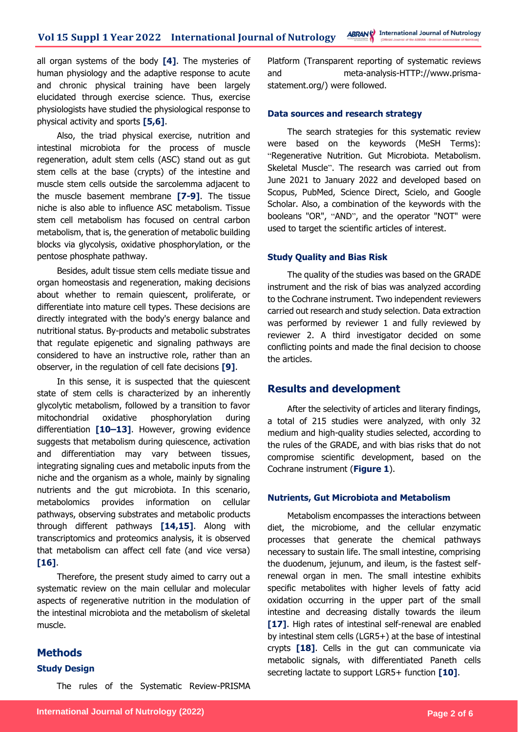all organ systems of the body **[4]**. The mysteries of human physiology and the adaptive response to acute and chronic physical training have been largely elucidated through exercise science. Thus, exercise physiologists have studied the physiological response to physical activity and sports **[5,6]**.

Also, the triad physical exercise, nutrition and intestinal microbiota for the process of muscle regeneration, adult stem cells (ASC) stand out as gut stem cells at the base (crypts) of the intestine and muscle stem cells outside the sarcolemma adjacent to the muscle basement membrane **[7-9]**. The tissue niche is also able to influence ASC metabolism. Tissue stem cell metabolism has focused on central carbon metabolism, that is, the generation of metabolic building blocks via glycolysis, oxidative phosphorylation, or the pentose phosphate pathway.

Besides, adult tissue stem cells mediate tissue and organ homeostasis and regeneration, making decisions about whether to remain quiescent, proliferate, or differentiate into mature cell types. These decisions are directly integrated with the body's energy balance and nutritional status. By-products and metabolic substrates that regulate epigenetic and signaling pathways are considered to have an instructive role, rather than an observer, in the regulation of cell fate decisions **[9]**.

In this sense, it is suspected that the quiescent state of stem cells is characterized by an inherently glycolytic metabolism, followed by a transition to favor mitochondrial oxidative phosphorylation during differentiation **[10–13]**. However, growing evidence suggests that metabolism during quiescence, activation and differentiation may vary between tissues, integrating signaling cues and metabolic inputs from the niche and the organism as a whole, mainly by signaling nutrients and the gut microbiota. In this scenario, metabolomics provides information on cellular pathways, observing substrates and metabolic products through different pathways **[14,15]**. Along with transcriptomics and proteomics analysis, it is observed that metabolism can affect cell fate (and vice versa) **[16]**.

Therefore, the present study aimed to carry out a systematic review on the main cellular and molecular aspects of regenerative nutrition in the modulation of the intestinal microbiota and the metabolism of skeletal muscle.

### **Methods**

### **Study Design**

The rules of the Systematic Review-PRISMA

Platform (Transparent reporting of systematic reviews and meta-analysis-HTTP://www.prismastatement.org/) were followed.

#### **Data sources and research strategy**

The search strategies for this systematic review were based on the keywords (MeSH Terms): "Regenerative Nutrition. Gut Microbiota. Metabolism. Skeletal Muscle". The research was carried out from June 2021 to January 2022 and developed based on Scopus, PubMed, Science Direct, Scielo, and Google Scholar. Also, a combination of the keywords with the booleans "OR", "AND", and the operator "NOT" were used to target the scientific articles of interest.

#### **Study Quality and Bias Risk**

The quality of the studies was based on the GRADE instrument and the risk of bias was analyzed according to the Cochrane instrument. Two independent reviewers carried out research and study selection. Data extraction was performed by reviewer 1 and fully reviewed by reviewer 2. A third investigator decided on some conflicting points and made the final decision to choose the articles.

### **Results and development**

After the selectivity of articles and literary findings, a total of 215 studies were analyzed, with only 32 medium and high-quality studies selected, according to the rules of the GRADE, and with bias risks that do not compromise scientific development, based on the Cochrane instrument (**Figure 1**).

#### **Nutrients, Gut Microbiota and Metabolism**

Metabolism encompasses the interactions between diet, the microbiome, and the cellular enzymatic processes that generate the chemical pathways necessary to sustain life. The small intestine, comprising the duodenum, jejunum, and ileum, is the fastest selfrenewal organ in men. The small intestine exhibits specific metabolites with higher levels of fatty acid oxidation occurring in the upper part of the small intestine and decreasing distally towards the ileum **[17]**. High rates of intestinal self-renewal are enabled by intestinal stem cells (LGR5+) at the base of intestinal crypts **[18]**. Cells in the gut can communicate via metabolic signals, with differentiated Paneth cells secreting lactate to support LGR5+ function **[10]**.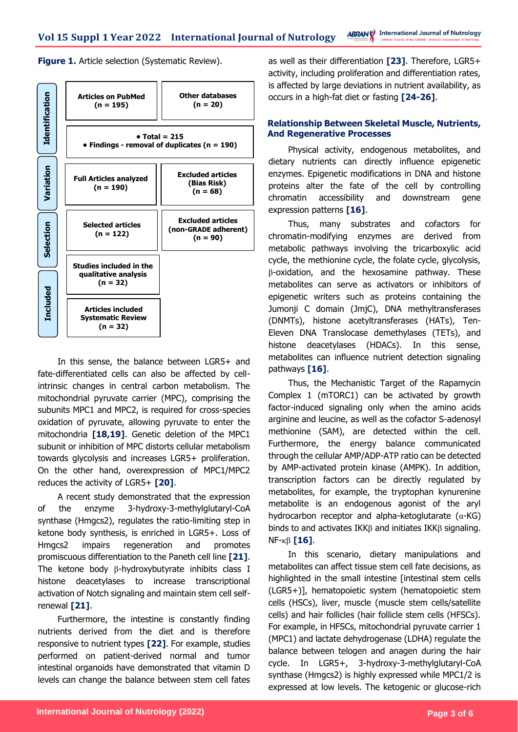**Figure 1.** Article selection (Systematic Review).



In this sense, the balance between LGR5+ and fate-differentiated cells can also be affected by cellintrinsic changes in central carbon metabolism. The mitochondrial pyruvate carrier (MPC), comprising the subunits MPC1 and MPC2, is required for cross-species oxidation of pyruvate, allowing pyruvate to enter the mitochondria **[18,19]**. Genetic deletion of the MPC1 subunit or inhibition of MPC distorts cellular metabolism towards glycolysis and increases LGR5+ proliferation. On the other hand, overexpression of MPC1/MPC2 reduces the activity of LGR5+ **[20]**.

A recent study demonstrated that the expression of the enzyme 3-hydroxy-3-methylglutaryl-CoA synthase (Hmgcs2), regulates the ratio-limiting step in ketone body synthesis, is enriched in LGR5+. Loss of Hmgcs2 impairs regeneration and promotes promiscuous differentiation to the Paneth cell line **[21]**. The ketone body β-hydroxybutyrate inhibits class I histone deacetylases to increase transcriptional activation of Notch signaling and maintain stem cell selfrenewal **[21]**.

Furthermore, the intestine is constantly finding nutrients derived from the diet and is therefore responsive to nutrient types **[22]**. For example, studies performed on patient-derived normal and tumor intestinal organoids have demonstrated that vitamin D levels can change the balance between stem cell fates as well as their differentiation **[23]**. Therefore, LGR5+ activity, including proliferation and differentiation rates, is affected by large deviations in nutrient availability, as occurs in a high-fat diet or fasting **[24-26]**.

### **Relationship Between Skeletal Muscle, Nutrients, And Regenerative Processes**

Physical activity, endogenous metabolites, and dietary nutrients can directly influence epigenetic enzymes. Epigenetic modifications in DNA and histone proteins alter the fate of the cell by controlling chromatin accessibility and downstream gene expression patterns **[16]**.

Thus, many substrates and cofactors for chromatin-modifying enzymes are derived from metabolic pathways involving the tricarboxylic acid cycle, the methionine cycle, the folate cycle, glycolysis, β-oxidation, and the hexosamine pathway. These metabolites can serve as activators or inhibitors of epigenetic writers such as proteins containing the Jumonji C domain (JmjC), DNA methyltransferases (DNMTs), histone acetyltransferases (HATs), Ten-Eleven DNA Translocase demethylases (TETs), and histone deacetylases (HDACs). In this sense, metabolites can influence nutrient detection signaling pathways **[16]**.

Thus, the Mechanistic Target of the Rapamycin Complex 1 (mTORC1) can be activated by growth factor-induced signaling only when the amino acids arginine and leucine, as well as the cofactor S-adenosyl methionine (SAM), are detected within the cell. Furthermore, the energy balance communicated through the cellular AMP/ADP-ATP ratio can be detected by AMP-activated protein kinase (AMPK). In addition, transcription factors can be directly regulated by metabolites, for example, the tryptophan kynurenine metabolite is an endogenous agonist of the aryl hydrocarbon receptor and alpha-ketoglutarate (α-KG) binds to and activates IKKβ and initiates IKKβ signaling. NF-κβ **[16]**.

In this scenario, dietary manipulations and metabolites can affect tissue stem cell fate decisions, as highlighted in the small intestine [intestinal stem cells (LGR5+)], hematopoietic system (hematopoietic stem cells (HSCs), liver, muscle (muscle stem cells/satellite cells) and hair follicles (hair follicle stem cells (HFSCs). For example, in HFSCs, mitochondrial pyruvate carrier 1 (MPC1) and lactate dehydrogenase (LDHA) regulate the balance between telogen and anagen during the hair cycle. In LGR5+, 3-hydroxy-3-methylglutaryl-CoA synthase (Hmgcs2) is highly expressed while MPC1/2 is expressed at low levels. The ketogenic or glucose-rich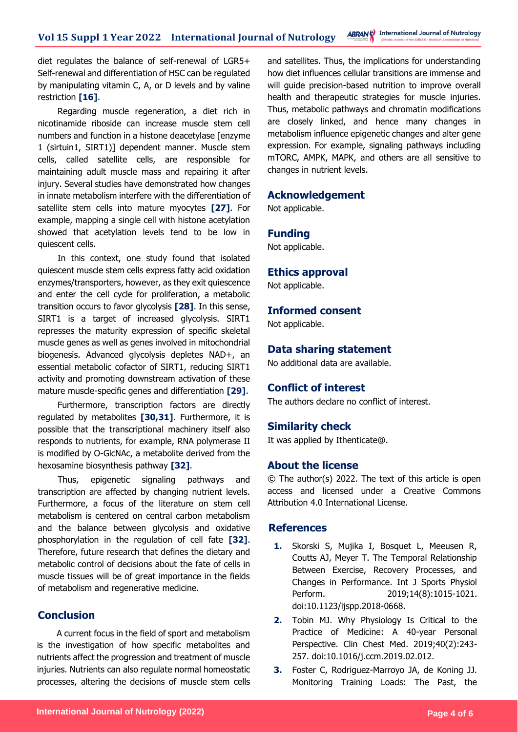diet regulates the balance of self-renewal of LGR5+ Self-renewal and differentiation of HSC can be regulated by manipulating vitamin C, A, or D levels and by valine restriction **[16]**.

Regarding muscle regeneration, a diet rich in nicotinamide riboside can increase muscle stem cell numbers and function in a histone deacetylase [enzyme 1 (sirtuin1, SIRT1)] dependent manner. Muscle stem cells, called satellite cells, are responsible for maintaining adult muscle mass and repairing it after injury. Several studies have demonstrated how changes in innate metabolism interfere with the differentiation of satellite stem cells into mature myocytes **[27]**. For example, mapping a single cell with histone acetylation showed that acetylation levels tend to be low in quiescent cells.

In this context, one study found that isolated quiescent muscle stem cells express fatty acid oxidation enzymes/transporters, however, as they exit quiescence and enter the cell cycle for proliferation, a metabolic transition occurs to favor glycolysis **[28]**. In this sense, SIRT1 is a target of increased glycolysis. SIRT1 represses the maturity expression of specific skeletal muscle genes as well as genes involved in mitochondrial biogenesis. Advanced glycolysis depletes NAD+, an essential metabolic cofactor of SIRT1, reducing SIRT1 activity and promoting downstream activation of these mature muscle-specific genes and differentiation **[29]**.

Furthermore, transcription factors are directly regulated by metabolites **[30,31]**. Furthermore, it is possible that the transcriptional machinery itself also responds to nutrients, for example, RNA polymerase II is modified by O-GlcNAc, a metabolite derived from the hexosamine biosynthesis pathway **[32]**.

Thus, epigenetic signaling pathways and transcription are affected by changing nutrient levels. Furthermore, a focus of the literature on stem cell metabolism is centered on central carbon metabolism and the balance between glycolysis and oxidative phosphorylation in the regulation of cell fate **[32]**. Therefore, future research that defines the dietary and metabolic control of decisions about the fate of cells in muscle tissues will be of great importance in the fields of metabolism and regenerative medicine.

# **Conclusion**

A current focus in the field of sport and metabolism is the investigation of how specific metabolites and nutrients affect the progression and treatment of muscle injuries. Nutrients can also regulate normal homeostatic processes, altering the decisions of muscle stem cells

and satellites. Thus, the implications for understanding how diet influences cellular transitions are immense and will guide precision-based nutrition to improve overall health and therapeutic strategies for muscle injuries. Thus, metabolic pathways and chromatin modifications are closely linked, and hence many changes in metabolism influence epigenetic changes and alter gene expression. For example, signaling pathways including mTORC, AMPK, MAPK, and others are all sensitive to changes in nutrient levels.

## **Acknowledgement**

Not applicable.

#### **Funding**

Not applicable.

#### **Ethics approval**

Not applicable.

# **Informed consent**

Not applicable.

### **Data sharing statement**

No additional data are available.

## **Conflict of interest**

The authors declare no conflict of interest.

#### **Similarity check**

It was applied by Ithenticate@.

# **About the license**

© The author(s) 2022. The text of this article is open access and licensed under a Creative Commons Attribution 4.0 International License.

### **References**

- **1.** Skorski S, Mujika I, Bosquet L, Meeusen R, Coutts AJ, Meyer T. The Temporal Relationship Between Exercise, Recovery Processes, and Changes in Performance. Int J Sports Physiol Perform. 2019;14(8):1015-1021. doi:10.1123/ijspp.2018-0668.
- **2.** Tobin MJ. Why Physiology Is Critical to the Practice of Medicine: A 40-year Personal Perspective. Clin Chest Med. 2019;40(2):243- 257. doi:10.1016/j.ccm.2019.02.012.
- **3.** Foster C, Rodriguez-Marroyo JA, de Koning JJ. Monitoring Training Loads: The Past, the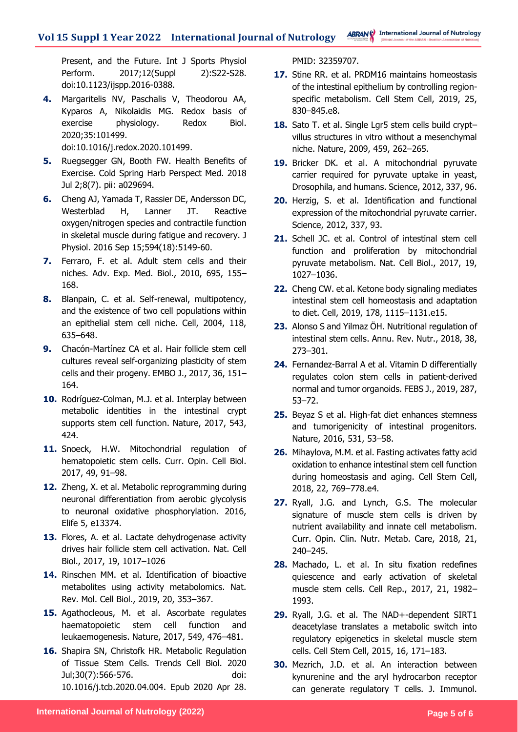Present, and the Future. Int J Sports Physiol Perform. 2017;12(Suppl 2):S22-S28. doi:10.1123/ijspp.2016-0388.

**4.** Margaritelis NV, Paschalis V, Theodorou AA, Kyparos A, Nikolaidis MG. Redox basis of exercise physiology. Redox Biol. 2020;35:101499.

doi:10.1016/j.redox.2020.101499.

- **5.** Ruegsegger GN, Booth FW. Health Benefits of Exercise. Cold Spring Harb Perspect Med. 2018 Jul 2;8(7). pii: a029694.
- **6.** Cheng AJ, Yamada T, Rassier DE, Andersson DC, Westerblad H, Lanner JT. Reactive oxygen/nitrogen species and contractile function in skeletal muscle during fatigue and recovery. J Physiol. 2016 Sep 15;594(18):5149-60.
- **7.** Ferraro, F. et al. Adult stem cells and their niches. Adv. Exp. Med. Biol., 2010, 695, 155– 168.
- **8.** Blanpain, C. et al. Self-renewal, multipotency, and the existence of two cell populations within an epithelial stem cell niche. Cell, 2004, 118, 635–648.
- **9.** Chacón-Martínez CA et al. Hair follicle stem cell cultures reveal self-organizing plasticity of stem cells and their progeny. EMBO J., 2017, 36, 151– 164.
- **10.** Rodríguez-Colman, M.J. et al. Interplay between metabolic identities in the intestinal crypt supports stem cell function. Nature, 2017, 543, 424.
- 11. Snoeck, H.W. Mitochondrial regulation of hematopoietic stem cells. Curr. Opin. Cell Biol. 2017, 49, 91–98.
- **12.** Zheng, X. et al. Metabolic reprogramming during neuronal differentiation from aerobic glycolysis to neuronal oxidative phosphorylation. 2016, Elife 5, e13374.
- **13.** Flores, A. et al. Lactate dehydrogenase activity drives hair follicle stem cell activation. Nat. Cell Biol., 2017, 19, 1017–1026
- **14.** Rinschen MM. et al. Identification of bioactive metabolites using activity metabolomics. Nat. Rev. Mol. Cell Biol., 2019, 20, 353–367.
- **15.** Agathocleous, M. et al. Ascorbate regulates haematopoietic stem cell function and leukaemogenesis. Nature, 2017, 549, 476–481.
- **16.** Shapira SN, Christofk HR. Metabolic Regulation of Tissue Stem Cells. Trends Cell Biol. 2020 Jul;30(7):566-576. doi: 10.1016/j.tcb.2020.04.004. Epub 2020 Apr 28.

PMID: 32359707.

- **17.** Stine RR. et al. PRDM16 maintains homeostasis of the intestinal epithelium by controlling regionspecific metabolism. Cell Stem Cell, 2019, 25, 830–845.e8.
- **18.** Sato T. et al. Single Lgr5 stem cells build crypt– villus structures in vitro without a mesenchymal niche. Nature, 2009, 459, 262–265.
- **19.** Bricker DK. et al. A mitochondrial pyruvate carrier required for pyruvate uptake in yeast, Drosophila, and humans. Science, 2012, 337, 96.
- **20.** Herzig, S. et al. Identification and functional expression of the mitochondrial pyruvate carrier. Science, 2012, 337, 93.
- **21.** Schell JC. et al. Control of intestinal stem cell function and proliferation by mitochondrial pyruvate metabolism. Nat. Cell Biol., 2017, 19, 1027–1036.
- **22.** Cheng CW. et al. Ketone body signaling mediates intestinal stem cell homeostasis and adaptation to diet. Cell, 2019, 178, 1115–1131.e15.
- **23.** Alonso S and Yilmaz ÖH. Nutritional regulation of intestinal stem cells. Annu. Rev. Nutr., 2018, 38, 273–301.
- **24.** Fernandez-Barral A et al. Vitamin D differentially regulates colon stem cells in patient-derived normal and tumor organoids. FEBS J., 2019, 287, 53–72.
- **25.** Beyaz S et al. High-fat diet enhances stemness and tumorigenicity of intestinal progenitors. Nature, 2016, 531, 53–58.
- **26.** Mihaylova, M.M. et al. Fasting activates fatty acid oxidation to enhance intestinal stem cell function during homeostasis and aging. Cell Stem Cell, 2018, 22, 769–778.e4.
- **27.** Ryall, J.G. and Lynch, G.S. The molecular signature of muscle stem cells is driven by nutrient availability and innate cell metabolism. Curr. Opin. Clin. Nutr. Metab. Care, 2018, 21, 240–245.
- **28.** Machado, L. et al. In situ fixation redefines quiescence and early activation of skeletal muscle stem cells. Cell Rep., 2017, 21, 1982– 1993.
- **29.** Ryall, J.G. et al. The NAD+-dependent SIRT1 deacetylase translates a metabolic switch into regulatory epigenetics in skeletal muscle stem cells. Cell Stem Cell, 2015, 16, 171–183.
- **30.** Mezrich, J.D. et al. An interaction between kynurenine and the aryl hydrocarbon receptor can generate regulatory T cells. J. Immunol.